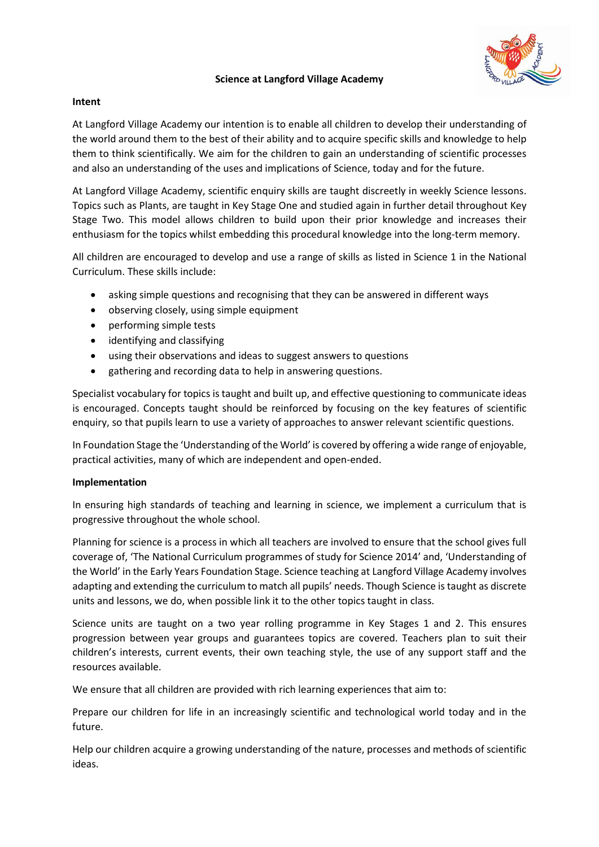## **Science at Langford Village Academy**



## **Intent**

At Langford Village Academy our intention is to enable all children to develop their understanding of the world around them to the best of their ability and to acquire specific skills and knowledge to help them to think scientifically. We aim for the children to gain an understanding of scientific processes and also an understanding of the uses and implications of Science, today and for the future.

At Langford Village Academy, scientific enquiry skills are taught discreetly in weekly Science lessons. Topics such as Plants, are taught in Key Stage One and studied again in further detail throughout Key Stage Two. This model allows children to build upon their prior knowledge and increases their enthusiasm for the topics whilst embedding this procedural knowledge into the long-term memory.

All children are encouraged to develop and use a range of skills as listed in Science 1 in the National Curriculum. These skills include:

- asking simple questions and recognising that they can be answered in different ways
- observing closely, using simple equipment
- performing simple tests
- identifying and classifying
- using their observations and ideas to suggest answers to questions
- gathering and recording data to help in answering questions.

Specialist vocabulary for topics is taught and built up, and effective questioning to communicate ideas is encouraged. Concepts taught should be reinforced by focusing on the key features of scientific enquiry, so that pupils learn to use a variety of approaches to answer relevant scientific questions.

In Foundation Stage the 'Understanding of the World' is covered by offering a wide range of enjoyable, practical activities, many of which are independent and open-ended.

## **Implementation**

In ensuring high standards of teaching and learning in science, we implement a curriculum that is progressive throughout the whole school.

Planning for science is a process in which all teachers are involved to ensure that the school gives full coverage of, 'The National Curriculum programmes of study for Science 2014' and, 'Understanding of the World' in the Early Years Foundation Stage. Science teaching at Langford Village Academy involves adapting and extending the curriculum to match all pupils' needs. Though Science is taught as discrete units and lessons, we do, when possible link it to the other topics taught in class.

Science units are taught on a two year rolling programme in Key Stages 1 and 2. This ensures progression between year groups and guarantees topics are covered. Teachers plan to suit their children's interests, current events, their own teaching style, the use of any support staff and the resources available.

We ensure that all children are provided with rich learning experiences that aim to:

Prepare our children for life in an increasingly scientific and technological world today and in the future.

Help our children acquire a growing understanding of the nature, processes and methods of scientific ideas.